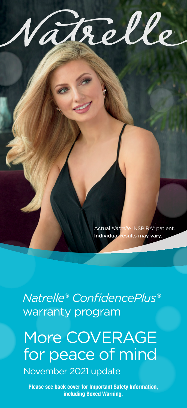

Actual *Natrelle* INSPIRA® patient. Individual results may vary.

*Natrelle*® *ConfidencePlus*® warranty program

More COVERAGE for peace of mind

November 2021 update

Please see back cover for Important Safety Information, including Boxed Warning.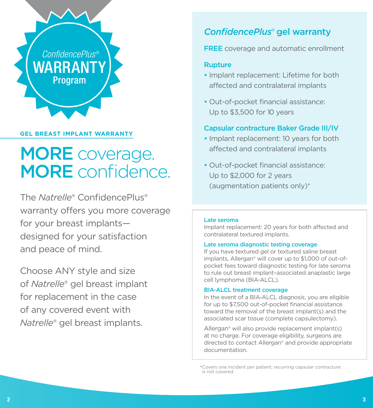

# **GEL BREAST IMPLANT WARRANTY**

# MORE coverage. MORE confidence.

The *Natrelle*® ConfidencePlus® warranty offers you more coverage for your breast implants designed for your satisfaction and peace of mind.

Choose ANY style and size of *Natrelle*® gel breast implant for replacement in the case of any covered event with *Natrelle*® gel breast implants.

# *ConfidencePlus*® gel warranty

**FREE** coverage and automatic enrollment

## Rupture

- Implant replacement: Lifetime for both affected and contralateral implants
- Out-of-pocket financial assistance: Up to \$3,500 for 10 years

# Capsular contracture Baker Grade III/IV

- Implant replacement: 10 years for both affected and contralateral implants
- Out-of-pocket financial assistance: Up to \$2,000 for 2 years (augmentation patients only)\*

#### Late seroma

Implant replacement: 20 years for both affected and contralateral textured implants.

#### Late seroma diagnostic testing coverage

If you have textured gel or textured saline breast implants, Allergan® will cover up to \$1,000 of out-ofpocket fees toward diagnostic testing for late seroma to rule out breast implant–associated anaplastic large cell lymphoma (BIA-ALCL).

#### BIA-ALCL treatment coverage

In the event of a BIA-ALCL diagnosis, you are eligible for up to \$7,500 out-of-pocket financial assistance toward the removal of the breast implant(s) and the associated scar tissue (complete capsulectomy).

Allergan® will also provide replacement implant(s) at no charge. For coverage eligibility, surgeons are directed to contact Allergan® and provide appropriate documentation.

\*Covers one incident per patient; recurring capsular contracture is not covered.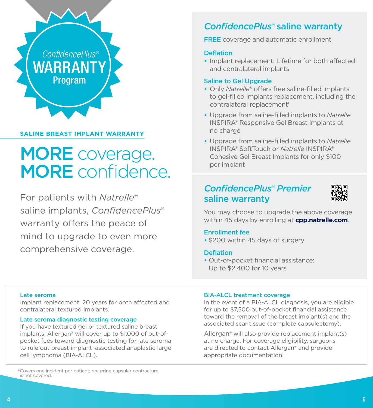

## **SALINE BREAST IMPLANT WARRANTY**

# MORE coverage. MORE confidence.

For patients with *Natrelle*® saline implants, *ConfidencePlus*® warranty offers the peace of mind to upgrade to even more comprehensive coverage.

# *ConfidencePlus*® saline warranty

**FREE** coverage and automatic enrollment

## **Deflation**

• Implant replacement: Lifetime for both affected and contralateral implants

### Saline to Gel Upgrade

- Only *Natrelle*® offers free saline-filled implants to gel-filled implants replacement, including the contralateral replacement<sup>1</sup>
- Upgrade from saline-filled implants to *Natrelle* INSPIRA® Responsive Gel Breast Implants at no charge
- Upgrade from saline-filled implants to *Natrelle* INSPIRA® SoftTouch or *Natrelle* INSPIRA® Cohesive Gel Breast Implants for only \$100 per implant

# *ConfidencePlus*® *Premier*  saline warranty



You may choose to upgrade the above coverage within 45 days by enrolling at **cpp.natrelle.com**.

## Enrollment fee

• \$200 within 45 days of surgery

### **Deflation**

• Out-of-pocket financial assistance: Up to \$2,400 for 10 years

#### Late seroma

Implant replacement: 20 years for both affected and contralateral textured implants.

#### Late seroma diagnostic testing coverage

If you have textured gel or textured saline breast implants, Allergan® will cover up to \$1,000 of out-ofpocket fees toward diagnostic testing for late seroma to rule out breast implant–associated anaplastic large cell lymphoma (BIA-ALCL).

#### BIA-ALCL treatment coverage

In the event of a BIA-ALCL diagnosis, you are eligible for up to \$7,500 out-of-pocket financial assistance toward the removal of the breast implant(s) and the associated scar tissue (complete capsulectomy).

Allergan® will also provide replacement implant(s) at no charge. For coverage eligibility, surgeons are directed to contact Allergan® and provide appropriate documentation.

<sup>\*</sup>Covers one incident per patient; recurring capsular contracture is not covered.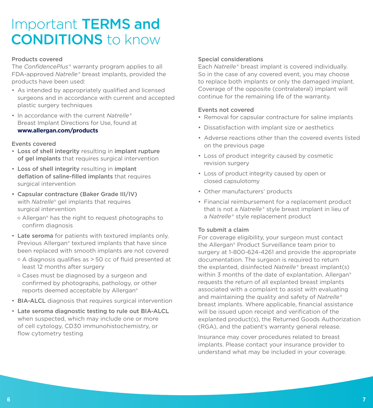# Important TERMS and CONDITIONS to know

#### Products covered

The *ConfidencePlus*® warranty program applies to all FDA-approved *Natrelle*® breast implants, provided the products have been used:

- As intended by appropriately qualified and licensed surgeons and in accordance with current and accepted plastic surgery techniques
- In accordance with the current *Natrelle*® Breast Implant Directions for Use, found at **[www.allergan.com/](http://www.allergan.com/labeling/usa.htm)products**

#### Events covered

- Loss of shell integrity resulting in implant rupture of gel implants that requires surgical intervention
- Loss of shell integrity resulting in implant deflation of saline-filled implants that requires surgical intervention
- Capsular contracture (Baker Grade III/IV) with *Natrelle*® gel implants that requires surgical intervention
	- o Allergan® has the right to request photographs to confirm diagnosis
- Late seroma for patients with textured implants only. Previous Allergan® textured implants that have since been replaced with smooth implants are not covered
	- o A diagnosis qualifies as > 50 cc of fluid presented at least 12 months after surgery
	- o Cases must be diagnosed by a surgeon and confirmed by photographs, pathology, or other reports deemed acceptable by Allergan®
- BIA-ALCL diagnosis that requires surgical intervention
- Late seroma diagnostic testing to rule out BIA-ALCL when suspected, which may include one or more of cell cytology, CD30 immunohistochemistry, or flow cytometry testing

#### Special considerations

Each *Natrelle*® breast implant is covered individually. So in the case of any covered event, you may choose to replace both implants or only the damaged implant. Coverage of the opposite (contralateral) implant will continue for the remaining life of the warranty.

### Events not covered

- Removal for capsular contracture for saline implants
- Dissatisfaction with implant size or aesthetics
- Adverse reactions other than the covered events listed on the previous page
- Loss of product integrity caused by cosmetic revision surgery
- Loss of product integrity caused by open or closed capsulotomy
- Other manufacturers' products
- Financial reimbursement for a replacement product that is not a *Natrelle*® style breast implant in lieu of a *Natrelle*® style replacement product

#### To submit a claim

For coverage eligibility, your surgeon must contact the Allergan® Product Surveillance team prior to surgery at 1-800-624-4261 and provide the appropriate documentation. The surgeon is required to return the explanted, disinfected *Natrelle*® breast implant(s) within 3 months of the date of explantation. Allergan<sup>®</sup> requests the return of all explanted breast implants associated with a complaint to assist with evaluating and maintaining the quality and safety of *Natrelle*® breast implants. Where applicable, financial assistance will be issued upon receipt and verification of the explanted product(s), the Returned Goods Authorization (RGA), and the patient's warranty general release.

Insurance may cover procedures related to breast implants. Please contact your insurance provider to understand what may be included in your coverage.